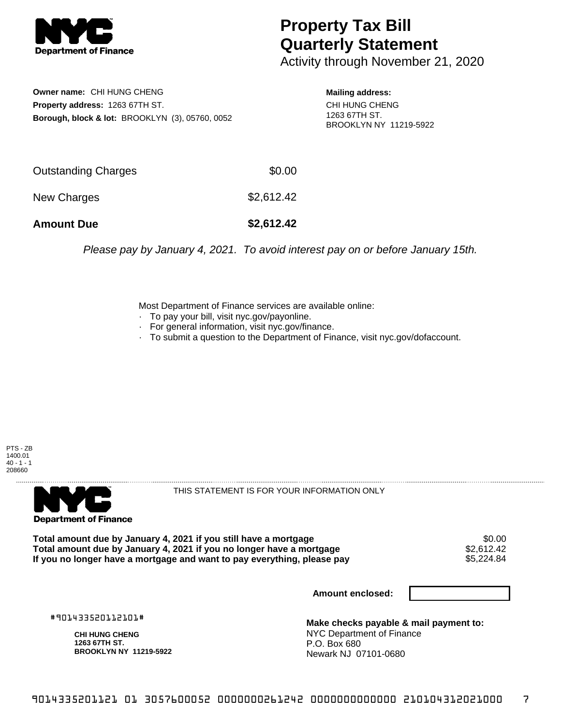

## **Property Tax Bill Quarterly Statement**

Activity through November 21, 2020

**Owner name:** CHI HUNG CHENG **Property address:** 1263 67TH ST. **Borough, block & lot:** BROOKLYN (3), 05760, 0052

**Mailing address:** CHI HUNG CHENG 1263 67TH ST. BROOKLYN NY 11219-5922

| <b>Amount Due</b>   | \$2,612.42 |
|---------------------|------------|
| New Charges         | \$2,612.42 |
| Outstanding Charges | \$0.00     |

Please pay by January 4, 2021. To avoid interest pay on or before January 15th.

Most Department of Finance services are available online:

- · To pay your bill, visit nyc.gov/payonline.
- For general information, visit nyc.gov/finance.
- · To submit a question to the Department of Finance, visit nyc.gov/dofaccount.





THIS STATEMENT IS FOR YOUR INFORMATION ONLY

Total amount due by January 4, 2021 if you still have a mortgage \$0.00<br>Total amount due by January 4, 2021 if you no longer have a mortgage \$2.612.42 **Total amount due by January 4, 2021 if you no longer have a mortgage**  $$2,612.42$$ **<br>If you no longer have a mortgage and want to pay everything, please pay**  $$5,224.84$$ If you no longer have a mortgage and want to pay everything, please pay

**Amount enclosed:**

#901433520112101#

**CHI HUNG CHENG 1263 67TH ST. BROOKLYN NY 11219-5922**

**Make checks payable & mail payment to:** NYC Department of Finance P.O. Box 680 Newark NJ 07101-0680